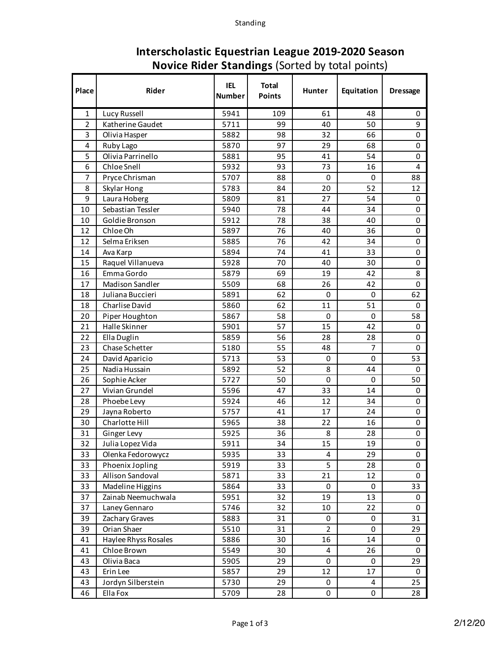| Place          | <b>Rider</b>         | <b>IEL</b><br><b>Number</b> | <b>Total</b><br><b>Points</b> | <b>Hunter</b>  | Equitation  | <b>Dressage</b> |
|----------------|----------------------|-----------------------------|-------------------------------|----------------|-------------|-----------------|
| 1              | Lucy Russell         | 5941                        | 109                           | 61             | 48          | 0               |
| $\overline{2}$ | Katherine Gaudet     | 5711                        | 99                            | 40             | 50          | 9               |
| 3              | Olivia Hasper        | 5882                        | 98                            | 32             | 66          | 0               |
| 4              | Ruby Lago            | 5870                        | 97                            | 29             | 68          | 0               |
| 5              | Olivia Parrinello    | 5881                        | 95                            | 41             | 54          | $\mathbf 0$     |
| 6              | Chloe Snell          | 5932                        | 93                            | 73             | 16          | 4               |
| 7              | Pryce Chrisman       | 5707                        | 88                            | $\Omega$       | 0           | 88              |
| 8              | Skylar Hong          | 5783                        | 84                            | 20             | 52          | 12              |
| 9              | Laura Hoberg         | 5809                        | 81                            | 27             | 54          | 0               |
| 10             | Sebastian Tessler    | 5940                        | 78                            | 44             | 34          | 0               |
| 10             | Goldie Bronson       | 5912                        | 78                            | 38             | 40          | 0               |
| 12             | Chloe Oh             | 5897                        | 76                            | 40             | 36          | 0               |
| 12             | Selma Eriksen        | 5885                        | 76                            | 42             | 34          | 0               |
| 14             | Ava Karp             | 5894                        | 74                            | 41             | 33          | 0               |
| 15             | Raquel Villanueva    | 5928                        | 70                            | 40             | 30          | 0               |
| 16             | Emma Gordo           | 5879                        | 69                            | 19             | 42          | 8               |
| 17             | Madison Sandler      | 5509                        | 68                            | 26             | 42          | 0               |
| 18             | Juliana Buccieri     | 5891                        | 62                            | $\Omega$       | 0           | 62              |
| 18             | Charlise David       | 5860                        | 62                            | 11             | 51          | 0               |
| 20             | Piper Houghton       | 5867                        | 58                            | 0              | 0           | 58              |
| 21             | Halle Skinner        | 5901                        | 57                            | 15             | 42          | 0               |
| 22             | Ella Duglin          | 5859                        | 56                            | 28             | 28          | 0               |
| 23             | Chase Schetter       | 5180                        | 55                            | 48             | 7           | 0               |
| 24             | David Aparicio       | 5713                        | 53                            | 0              | $\mathbf 0$ | 53              |
| 25             | Nadia Hussain        | 5892                        | 52                            | 8              | 44          | 0               |
| 26             | Sophie Acker         | 5727                        | 50                            | $\mathbf 0$    | $\mathbf 0$ | 50              |
| 27             | Vivian Grundel       | 5596                        | 47                            | 33             | 14          | 0               |
| 28             | Phoebe Levy          | 5924                        | 46                            | 12             | 34          | 0               |
| 29             | Jayna Roberto        | 5757                        | 41                            | 17             | 24          | 0               |
| 30             | Charlotte Hill       | 5965                        | 38                            | 22             | 16          | 0               |
| 31             | Ginger Levy          | 5925                        | 36                            | 8              | 28          | 0               |
| 32             | Julia Lopez Vida     | 5911                        | 34                            | 15             | 19          | U               |
| 33             | Olenka Fedorowycz    | 5935                        | 33                            | 4              | 29          | 0               |
| 33             | Phoenix Jopling      | 5919                        | 33                            | 5              | 28          | 0               |
| 33             | Allison Sandoval     | 5871                        | 33                            | 21             | 12          | 0               |
| 33             | Madeline Higgins     | 5864                        | 33                            | 0              | 0           | 33              |
| 37             | Zainab Neemuchwala   | 5951                        | 32                            | 19             | 13          | 0               |
| 37             | Laney Gennaro        | 5746                        | 32                            | 10             | 22          | 0               |
| 39             | Zachary Graves       | 5883                        | 31                            | 0              | 0           | 31              |
| 39             | Orian Shaer          | 5510                        | 31                            | $\overline{2}$ | 0           | 29              |
| 41             | Haylee Rhyss Rosales | 5886                        | 30                            | 16             | 14          | 0               |
| 41             | Chloe Brown          | 5549                        | 30                            | 4              | 26          | 0               |
| 43             | Olivia Baca          | 5905                        | 29                            | $\pmb{0}$      | 0           | 29              |
| 43             | Erin Lee             | 5857                        | 29                            | 12             | 17          | 0               |
| 43             | Jordyn Silberstein   | 5730                        | 29                            | 0              | 4           | 25              |
| 46             | Ella Fox             | 5709                        | 28                            | 0              | $\pmb{0}$   | 28              |

## **Interscholastic Equestrian League 2019-2020 Season Novice Rider Standings** (Sorted by total points)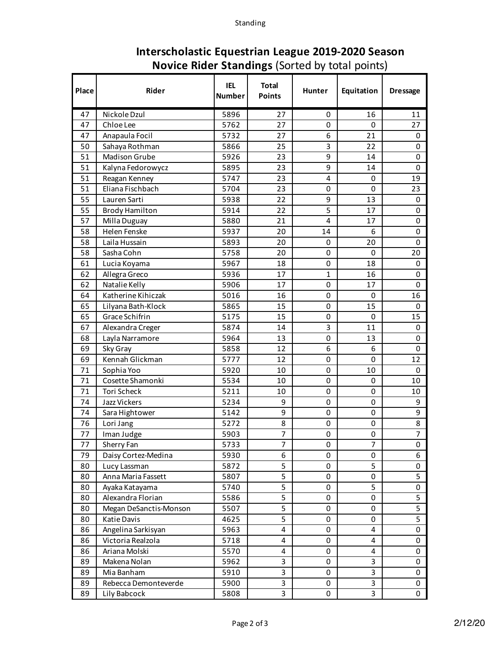| Place | <b>Rider</b>           | <b>IEL</b><br><b>Number</b> | <b>Total</b><br><b>Points</b> | <b>Hunter</b>           | Equitation | <b>Dressage</b> |
|-------|------------------------|-----------------------------|-------------------------------|-------------------------|------------|-----------------|
| 47    | Nickole Dzul           | 5896                        | 27                            | 0                       | 16         | 11              |
| 47    | Chloe Lee              | 5762                        | 27                            | 0                       | 0          | 27              |
| 47    | Anapaula Focil         | 5732                        | 27                            | 6                       | 21         | 0               |
| 50    | Sahaya Rothman         | 5866                        | 25                            | 3                       | 22         | 0               |
| 51    | <b>Madison Grube</b>   | 5926                        | 23                            | 9                       | 14         | 0               |
| 51    | Kalyna Fedorowycz      | 5895                        | 23                            | 9                       | 14         | 0               |
| 51    | Reagan Kenney          | 5747                        | 23                            | 4                       | 0          | 19              |
| 51    | Eliana Fischbach       | 5704                        | 23                            | 0                       | 0          | 23              |
| 55    | Lauren Sarti           | 5938                        | 22                            | 9                       | 13         | 0               |
| 55    | <b>Brody Hamilton</b>  | 5914                        | 22                            | 5                       | 17         | 0               |
| 57    | Milla Duguay           | 5880                        | 21                            | $\overline{\mathbf{4}}$ | 17         | 0               |
| 58    | Helen Fenske           | 5937                        | 20                            | 14                      | 6          | $\mathbf 0$     |
| 58    | Laila Hussain          | 5893                        | 20                            | 0                       | 20         | 0               |
| 58    | Sasha Cohn             | 5758                        | 20                            | 0                       | 0          | 20              |
| 61    | Lucia Koyama           | 5967                        | 18                            | 0                       | 18         | 0               |
| 62    | Allegra Greco          | 5936                        | 17                            | 1                       | 16         | 0               |
| 62    | Natalie Kelly          | 5906                        | 17                            | 0                       | 17         | 0               |
| 64    | Katherine Kihiczak     | 5016                        | 16                            | 0                       | 0          | 16              |
| 65    | Lilyana Bath-Klock     | 5865                        | 15                            | 0                       | 15         | 0               |
| 65    | Grace Schifrin         | 5175                        | 15                            | 0                       | 0          | 15              |
| 67    | Alexandra Creger       | 5874                        | 14                            | 3                       | 11         | 0               |
| 68    | Layla Narramore        | 5964                        | 13                            | 0                       | 13         | 0               |
| 69    | Sky Gray               | 5858                        | 12                            | 6                       | 6          | 0               |
| 69    | Kennah Glickman        | 5777                        | 12                            | 0                       | 0          | 12              |
| 71    | Sophia Yoo             | 5920                        | 10                            | 0                       | 10         | 0               |
| 71    | Cosette Shamonki       | 5534                        | 10                            | 0                       | 0          | 10              |
| 71    | Tori Scheck            | 5211                        | 10                            | 0                       | 0          | 10              |
| 74    | Jazz Vickers           | 5234                        | 9                             | 0                       | 0          | 9               |
| 74    | Sara Hightower         | 5142                        | 9                             | 0                       | 0          | 9               |
| 76    | Lori Jang              | 5272                        | 8                             | 0                       | 0          | 8               |
| 77    | Iman Judge             | 5903                        | 7                             | 0                       | 0          | 7               |
| 77    | Sherry Fan             | 5733                        | 7                             | 0                       | 7          | 0               |
| 79    | Daisy Cortez-Medina    | 5930                        | 6                             | 0                       | $\Omega$   | 6               |
| 80    | Lucy Lassman           | 5872                        | 5                             | 0                       | 5          | 0               |
| 80    | Anna Maria Fassett     | 5807                        | 5                             | 0                       | 0          | 5               |
| 80    | Ayaka Katayama         | 5740                        | 5                             | 0                       | 5          | 0               |
| 80    | Alexandra Florian      | 5586                        | 5                             | 0                       | 0          | 5               |
| 80    | Megan DeSanctis-Monson | 5507                        | 5                             | 0                       | 0          | 5               |
| 80    | Katie Davis            | 4625                        | 5                             | 0                       | 0          | 5               |
| 86    | Angelina Sarkisyan     | 5963                        | 4                             | 0                       | 4          | 0               |
| 86    | Victoria Realzola      | 5718                        | 4                             | 0                       | 4          | 0               |
| 86    | Ariana Molski          | 5570                        | 4                             | 0                       | 4          | 0               |
| 89    | Makena Nolan           | 5962                        | 3                             | 0                       | 3          | 0               |
| 89    | Mia Banham             | 5910                        | 3                             | 0                       | 3          | 0               |
| 89    | Rebecca Demonteverde   | 5900                        | 3                             | 0                       | 3          | 0               |
| 89    | Lily Babcock           | 5808                        | 3                             | 0                       | 3          | 0               |

## **Interscholastic Equestrian League 2019-2020 Season Novice Rider Standings** (Sorted by total points)